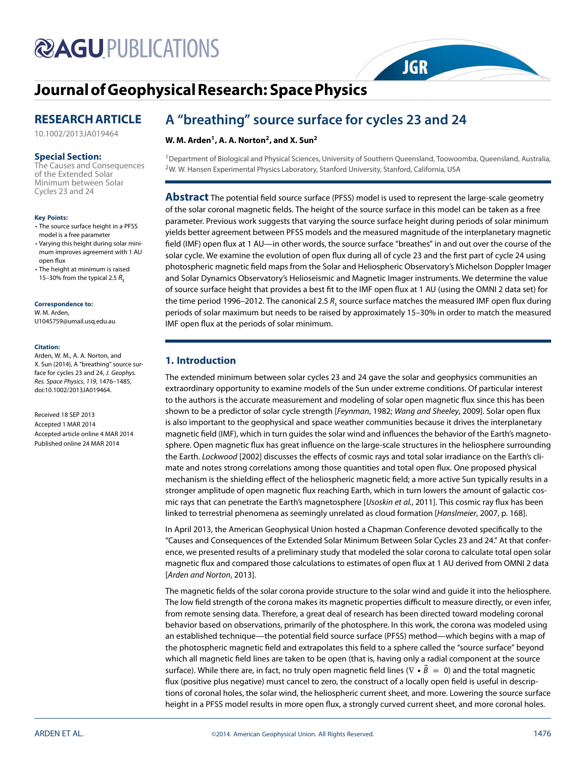# **@AGUPUBLICATIONS**

# **[Journal ofGeophysicalResearch: Space Physics](http://onlinelibrary.wiley.com/journal/10.1002/(ISSN)2169-9402)**

# **RESEARCH ARTICLE**

[10.1002/2013JA019464](http://dx.doi.org/10.1002/2013JA019464)

# **Special Section:**

The Causes and Consequences of the Extended Solar Minimum between Solar Cycles 23 and 24

#### **Key Points:**

- The source surface height in a PFSS model is a free parameter
- Varying this height during solar minimum improves agreement with 1 AU open flux
- The height at minimum is raised 15–30% from the typical 2.5  $R_s$

#### **Correspondence to:**

W. M. Arden, U1045759@umail.usq.edu.au

#### **Citation:**

Arden, W. M., A. A. Norton, and X. Sun (2014), A "breathing" source surface for cycles 23 and 24, J. Geophys. Res. Space Physics, 119, 1476–1485, doi:10.1002/2013JA019464.

Received 18 SEP 2013 Accepted 1 MAR 2014 Accepted article online 4 MAR 2014 Published online 24 MAR 2014

# **A "breathing" source surface for cycles 23 and 24**

# W. M. Arden<sup>1</sup>, A. A. Norton<sup>2</sup>, and X. Sun<sup>2</sup>

<sup>1</sup> Department of Biological and Physical Sciences, University of Southern Queensland, Toowoomba, Queensland, Australia, 2W. W. Hansen Experimental Physics Laboratory, Stanford University, Stanford, California, USA

**JGR** 

**Abstract** The potential field source surface (PFSS) model is used to represent the large-scale geometry of the solar coronal magnetic fields. The height of the source surface in this model can be taken as a free parameter. Previous work suggests that varying the source surface height during periods of solar minimum yields better agreement between PFSS models and the measured magnitude of the interplanetary magnetic field (IMF) open flux at 1 AU—in other words, the source surface "breathes" in and out over the course of the solar cycle. We examine the evolution of open flux during all of cycle 23 and the first part of cycle 24 using photospheric magnetic field maps from the Solar and Heliospheric Observatory's Michelson Doppler Imager and Solar Dynamics Observatory's Helioseismic and Magnetic Imager instruments. We determine the value of source surface height that provides a best fit to the IMF open flux at 1 AU (using the OMNI 2 data set) for the time period 1996–2012. The canonical 2.5  $R_s$  source surface matches the measured IMF open flux during periods of solar maximum but needs to be raised by approximately 15–30% in order to match the measured IMF open flux at the periods of solar minimum.

# **1. Introduction**

The extended minimum between solar cycles 23 and 24 gave the solar and geophysics communities an extraordinary opportunity to examine models of the Sun under extreme conditions. Of particular interest to the authors is the accurate measurement and modeling of solar open magnetic flux since this has been shown to be a predictor of solar cycle strength [Feynman, 1982; Wang and Sheeley, 2009]. Solar open flux is also important to the geophysical and space weather communities because it drives the interplanetary magnetic field (IMF), which in turn guides the solar wind and influences the behavior of the Earth's magnetosphere. Open magnetic flux has great influence on the large-scale structures in the heliosphere surrounding the Earth. Lockwood [2002] discusses the effects of cosmic rays and total solar irradiance on the Earth's climate and notes strong correlations among those quantities and total open flux. One proposed physical mechanism is the shielding effect of the heliospheric magnetic field; a more active Sun typically results in a stronger amplitude of open magnetic flux reaching Earth, which in turn lowers the amount of galactic cosmic rays that can penetrate the Earth's magnetosphere [Usoskin et al., 2011]. This cosmic ray flux has been linked to terrestrial phenomena as seemingly unrelated as cloud formation [Hanslmeier, 2007, p. 168].

In April 2013, the American Geophysical Union hosted a Chapman Conference devoted specifically to the "Causes and Consequences of the Extended Solar Minimum Between Solar Cycles 23 and 24." At that conference, we presented results of a preliminary study that modeled the solar corona to calculate total open solar magnetic flux and compared those calculations to estimates of open flux at 1 AU derived from OMNI 2 data [Arden and Norton, 2013].

The magnetic fields of the solar corona provide structure to the solar wind and guide it into the heliosphere. The low field strength of the corona makes its magnetic properties difficult to measure directly, or even infer, from remote sensing data. Therefore, a great deal of research has been directed toward modeling coronal behavior based on observations, primarily of the photosphere. In this work, the corona was modeled using an established technique—the potential field source surface (PFSS) method—which begins with a map of the photospheric magnetic field and extrapolates this field to a sphere called the "source surface" beyond which all magnetic field lines are taken to be open (that is, having only a radial component at the source surface). While there are, in fact, no truly open magnetic field lines ( $\nabla \cdot \vec{B} = 0$ ) and the total magnetic flux (positive plus negative) must cancel to zero, the construct of a locally open field is useful in descriptions of coronal holes, the solar wind, the heliospheric current sheet, and more. Lowering the source surface height in a PFSS model results in more open flux, a strongly curved current sheet, and more coronal holes.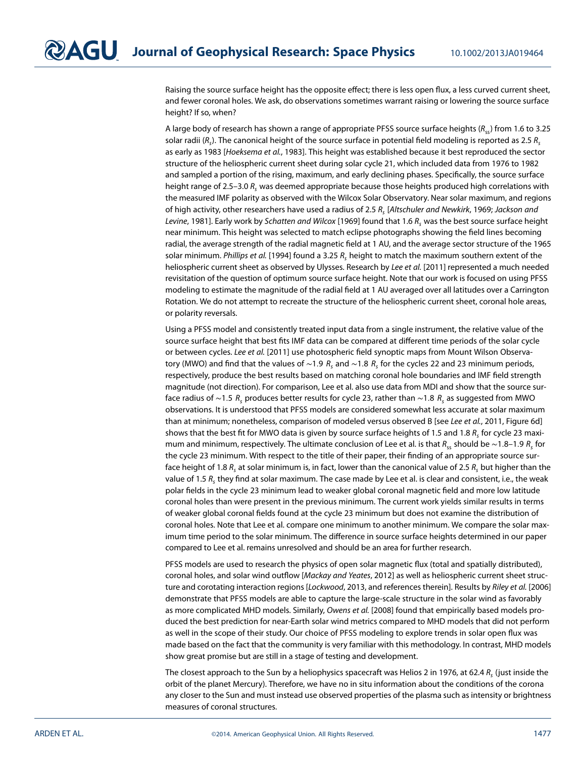Raising the source surface height has the opposite effect; there is less open flux, a less curved current sheet, and fewer coronal holes. We ask, do observations sometimes warrant raising or lowering the source surface height? If so, when?

A large body of research has shown a range of appropriate PFSS source surface heights ( $R_{\rm sc}$ ) from 1.6 to 3.25 solar radii ( $R_s$ ). The canonical height of the source surface in potential field modeling is reported as 2.5  $R_s$ as early as 1983 [Hoeksema et al., 1983]. This height was established because it best reproduced the sector structure of the heliospheric current sheet during solar cycle 21, which included data from 1976 to 1982 and sampled a portion of the rising, maximum, and early declining phases. Specifically, the source surface height range of 2.5–3.0  $R<sub>s</sub>$  was deemed appropriate because those heights produced high correlations with the measured IMF polarity as observed with the Wilcox Solar Observatory. Near solar maximum, and regions of high activity, other researchers have used a radius of 2.5 R. [Altschuler and Newkirk, 1969; Jackson and Levine, 1981]. Early work by Schatten and Wilcox [1969] found that 1.6  $R_s$  was the best source surface height near minimum. This height was selected to match eclipse photographs showing the field lines becoming radial, the average strength of the radial magnetic field at 1 AU, and the average sector structure of the 1965 solar minimum. Phillips et al. [1994] found a 3.25  $R_s$  height to match the maximum southern extent of the heliospheric current sheet as observed by Ulysses. Research by Lee et al. [2011] represented a much needed revisitation of the question of optimum source surface height. Note that our work is focused on using PFSS modeling to estimate the magnitude of the radial field at 1 AU averaged over all latitudes over a Carrington Rotation. We do not attempt to recreate the structure of the heliospheric current sheet, coronal hole areas, or polarity reversals.

Using a PFSS model and consistently treated input data from a single instrument, the relative value of the source surface height that best fits IMF data can be compared at different time periods of the solar cycle or between cycles. Lee et al. [2011] use photospheric field synoptic maps from Mount Wilson Observatory (MWO) and find that the values of ~1*.9 R<sub>s</sub>* and ~1*.8 R<sub>s</sub>* for the cycles 22 and 23 minimum periods, respectively, produce the best results based on matching coronal hole boundaries and IMF field strength magnitude (not direction). For comparison, Lee et al. also use data from MDI and show that the source surface radius of ∼1.5 R<sub>s</sub> produces better results for cycle 23, rather than ~1.8 R<sub>s</sub> as suggested from MWO observations. It is understood that PFSS models are considered somewhat less accurate at solar maximum than at minimum; nonetheless, comparison of modeled versus observed B [see Lee et al., 2011, Figure 6d] shows that the best fit for MWO data is given by source surface heights of 1.5 and 1.8  $R_s$  for cycle 23 maximum and minimum, respectively. The ultimate conclusion of Lee et al. is that R<sub>ss</sub> should be ~1.8–1.9 R<sub>s</sub> for the cycle 23 minimum. With respect to the title of their paper, their finding of an appropriate source surface height of 1.8 R, at solar minimum is, in fact, lower than the canonical value of 2.5 R, but higher than the value of 1.5  $R_s$  they find at solar maximum. The case made by Lee et al. is clear and consistent, i.e., the weak polar fields in the cycle 23 minimum lead to weaker global coronal magnetic field and more low latitude coronal holes than were present in the previous minimum. The current work yields similar results in terms of weaker global coronal fields found at the cycle 23 minimum but does not examine the distribution of coronal holes. Note that Lee et al. compare one minimum to another minimum. We compare the solar maximum time period to the solar minimum. The difference in source surface heights determined in our paper compared to Lee et al. remains unresolved and should be an area for further research.

PFSS models are used to research the physics of open solar magnetic flux (total and spatially distributed), coronal holes, and solar wind outflow [Mackay and Yeates, 2012] as well as heliospheric current sheet structure and corotating interaction regions [Lockwood, 2013, and references therein]. Results by Riley et al. [2006] demonstrate that PFSS models are able to capture the large-scale structure in the solar wind as favorably as more complicated MHD models. Similarly, Owens et al. [2008] found that empirically based models produced the best prediction for near-Earth solar wind metrics compared to MHD models that did not perform as well in the scope of their study. Our choice of PFSS modeling to explore trends in solar open flux was made based on the fact that the community is very familiar with this methodology. In contrast, MHD models show great promise but are still in a stage of testing and development.

The closest approach to the Sun by a heliophysics spacecraft was Helios 2 in 1976, at 62.4  $R_s$  (just inside the orbit of the planet Mercury). Therefore, we have no in situ information about the conditions of the corona any closer to the Sun and must instead use observed properties of the plasma such as intensity or brightness measures of coronal structures.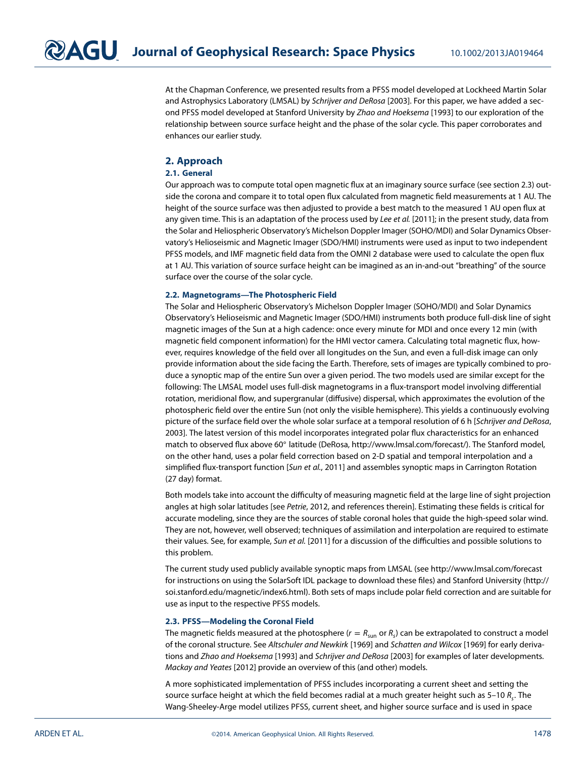At the Chapman Conference, we presented results from a PFSS model developed at Lockheed Martin Solar and Astrophysics Laboratory (LMSAL) by Schrijver and DeRosa [2003]. For this paper, we have added a second PFSS model developed at Stanford University by Zhao and Hoeksema [1993] to our exploration of the relationship between source surface height and the phase of the solar cycle. This paper corroborates and enhances our earlier study.

# **2. Approach**

#### **2.1. General**

Our approach was to compute total open magnetic flux at an imaginary source surface (see section [2.3\)](#page-2-0) outside the corona and compare it to total open flux calculated from magnetic field measurements at 1 AU. The height of the source surface was then adjusted to provide a best match to the measured 1 AU open flux at any given time. This is an adaptation of the process used by Lee et al. [2011]; in the present study, data from the Solar and Heliospheric Observatory's Michelson Doppler Imager (SOHO/MDI) and Solar Dynamics Observatory's Helioseismic and Magnetic Imager (SDO/HMI) instruments were used as input to two independent PFSS models, and IMF magnetic field data from the OMNI 2 database were used to calculate the open flux at 1 AU. This variation of source surface height can be imagined as an in-and-out "breathing" of the source surface over the course of the solar cycle.

#### <span id="page-2-1"></span>**2.2. Magnetograms—The Photospheric Field**

The Solar and Heliospheric Observatory's Michelson Doppler Imager (SOHO/MDI) and Solar Dynamics Observatory's Helioseismic and Magnetic Imager (SDO/HMI) instruments both produce full-disk line of sight magnetic images of the Sun at a high cadence: once every minute for MDI and once every 12 min (with magnetic field component information) for the HMI vector camera. Calculating total magnetic flux, however, requires knowledge of the field over all longitudes on the Sun, and even a full-disk image can only provide information about the side facing the Earth. Therefore, sets of images are typically combined to produce a synoptic map of the entire Sun over a given period. The two models used are similar except for the following: The LMSAL model uses full-disk magnetograms in a flux-transport model involving differential rotation, meridional flow, and supergranular (diffusive) dispersal, which approximates the evolution of the photospheric field over the entire Sun (not only the visible hemisphere). This yields a continuously evolving picture of the surface field over the whole solar surface at a temporal resolution of 6 h [Schrijver and DeRosa, 2003]. The latest version of this model incorporates integrated polar flux characteristics for an enhanced match to observed flux above 60◦ latitude (DeRosa, [http://www.lmsal.com/forecast/\)](http://www.lmsal.com/forecast/). The Stanford model, on the other hand, uses a polar field correction based on 2-D spatial and temporal interpolation and a simplified flux-transport function [Sun et al., 2011] and assembles synoptic maps in Carrington Rotation (27 day) format.

Both models take into account the difficulty of measuring magnetic field at the large line of sight projection angles at high solar latitudes [see Petrie, 2012, and references therein]. Estimating these fields is critical for accurate modeling, since they are the sources of stable coronal holes that guide the high-speed solar wind. They are not, however, well observed; techniques of assimilation and interpolation are required to estimate their values. See, for example, Sun et al. [2011] for a discussion of the difficulties and possible solutions to this problem.

The current study used publicly available synoptic maps from LMSAL (see<http://www.lmsal.com/forecast> for instructions on using the SolarSoft IDL package to download these files) and Stanford University [\(http://](http://soi.stanford.edu/magnetic/index6.html) [soi.stanford.edu/magnetic/index6.html\)](http://soi.stanford.edu/magnetic/index6.html). Both sets of maps include polar field correction and are suitable for use as input to the respective PFSS models.

#### <span id="page-2-0"></span>**2.3. PFSS—Modeling the Coronal Field**

The magnetic fields measured at the photosphere ( $r = R_{\text{sun}}$  or  $R_s$ ) can be extrapolated to construct a model of the coronal structure. See Altschuler and Newkirk [1969] and Schatten and Wilcox [1969] for early derivations and Zhao and Hoeksema [1993] and Schrijver and DeRosa [2003] for examples of later developments. Mackay and Yeates [2012] provide an overview of this (and other) models.

A more sophisticated implementation of PFSS includes incorporating a current sheet and setting the source surface height at which the field becomes radial at a much greater height such as 5–10  $R_s$ . The Wang-Sheeley-Arge model utilizes PFSS, current sheet, and higher source surface and is used in space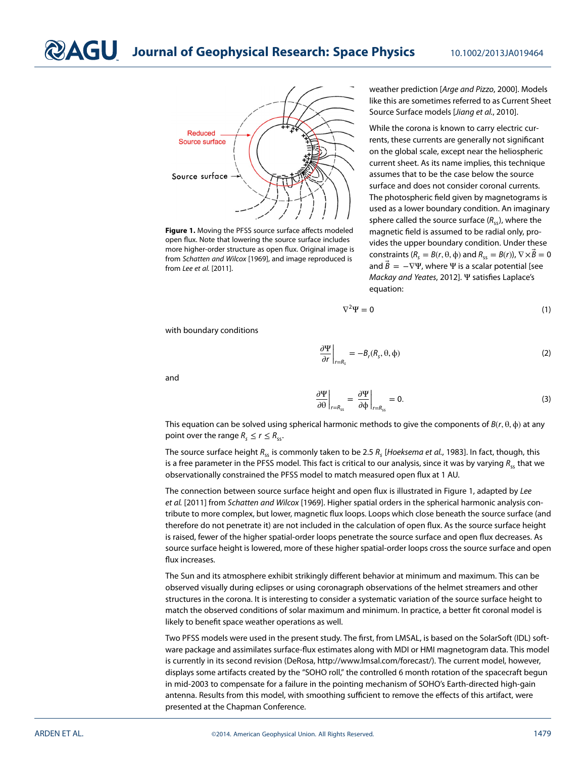**Journal of Geophysical Research: Space Physics** 10.1002/2013JA019464



<span id="page-3-0"></span>**Figure 1.** Moving the PFSS source surface affects modeled open flux. Note that lowering the source surface includes more higher-order structure as open flux. Original image is from Schatten and Wilcox [1969], and image reproduced is from Lee et al. [2011].

weather prediction [Arge and Pizzo, 2000]. Models like this are sometimes referred to as Current Sheet Source Surface models [Jiang et al., 2010].

While the corona is known to carry electric currents, these currents are generally not significant on the global scale, except near the heliospheric current sheet. As its name implies, this technique assumes that to be the case below the source surface and does not consider coronal currents. The photospheric field given by magnetograms is used as a lower boundary condition. An imaginary sphere called the source surface  $(R_{ss})$ , where the magnetic field is assumed to be radial only, provides the upper boundary condition. Under these constraints  $(R_s = B(r, \theta, \phi)$  and  $R_{ss} = B(r)$ ),  $\nabla \times \vec{B} = 0$ and  $\vec{B} = -\nabla \Psi$ , where  $\Psi$  is a scalar potential [see Mackay and Yeates, 2012]. Ψ satisfies Laplace's equation:

$$
\nabla^2 \Psi = 0 \tag{1}
$$

with boundary conditions

$$
\left. \frac{\partial \Psi}{\partial r} \right|_{r=R_s} = -B_r(R_s, \theta, \phi) \tag{2}
$$

and

$$
\left. \frac{\partial \Psi}{\partial \theta} \right|_{r=R_{ss}} = \left. \frac{\partial \Psi}{\partial \phi} \right|_{r=R_{ss}} = 0. \tag{3}
$$

This equation can be solved using spherical harmonic methods to give the components of  $B(r, \theta, \phi)$  at any point over the range  $R_s \le r \le R_{ss}$ .

The source surface height  $R_{ss}$  is commonly taken to be 2.5  $R_s$  [Hoeksema et al., 1983]. In fact, though, this is a free parameter in the PFSS model. This fact is critical to our analysis, since it was by varying  $R_{ss}$  that we observationally constrained the PFSS model to match measured open flux at 1 AU.

The connection between source surface height and open flux is illustrated in Figure [1,](#page-3-0) adapted by Lee et al. [2011] from Schatten and Wilcox [1969]. Higher spatial orders in the spherical harmonic analysis contribute to more complex, but lower, magnetic flux loops. Loops which close beneath the source surface (and therefore do not penetrate it) are not included in the calculation of open flux. As the source surface height is raised, fewer of the higher spatial-order loops penetrate the source surface and open flux decreases. As source surface height is lowered, more of these higher spatial-order loops cross the source surface and open flux increases.

The Sun and its atmosphere exhibit strikingly different behavior at minimum and maximum. This can be observed visually during eclipses or using coronagraph observations of the helmet streamers and other structures in the corona. It is interesting to consider a systematic variation of the source surface height to match the observed conditions of solar maximum and minimum. In practice, a better fit coronal model is likely to benefit space weather operations as well.

Two PFSS models were used in the present study. The first, from LMSAL, is based on the SolarSoft (IDL) software package and assimilates surface-flux estimates along with MDI or HMI magnetogram data. This model is currently in its second revision (DeRosa, [http://www.lmsal.com/forecast/\)](http://www.lmsal.com/forecast/). The current model, however, displays some artifacts created by the "SOHO roll," the controlled 6 month rotation of the spacecraft begun in mid-2003 to compensate for a failure in the pointing mechanism of SOHO's Earth-directed high-gain antenna. Results from this model, with smoothing sufficient to remove the effects of this artifact, were presented at the Chapman Conference.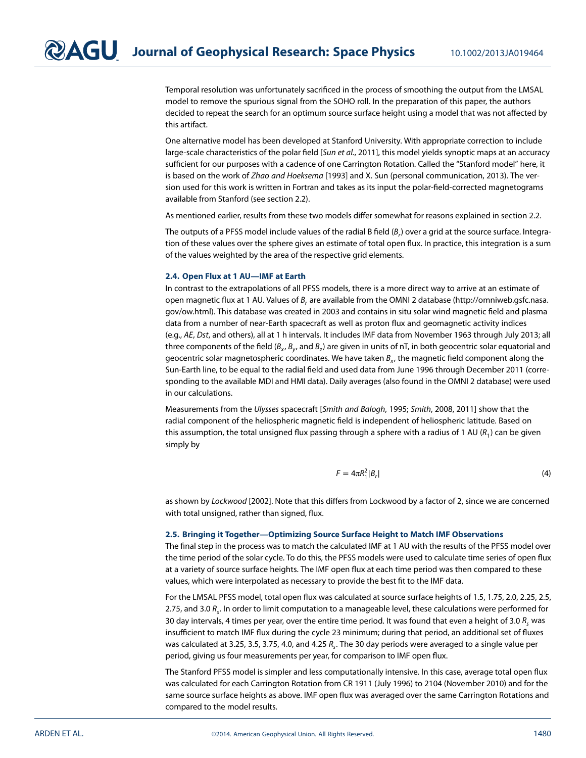Temporal resolution was unfortunately sacrificed in the process of smoothing the output from the LMSAL model to remove the spurious signal from the SOHO roll. In the preparation of this paper, the authors decided to repeat the search for an optimum source surface height using a model that was not affected by this artifact.

One alternative model has been developed at Stanford University. With appropriate correction to include large-scale characteristics of the polar field [Sun et al., 2011], this model yields synoptic maps at an accuracy sufficient for our purposes with a cadence of one Carrington Rotation. Called the "Stanford model" here, it is based on the work of Zhao and Hoeksema [1993] and X. Sun (personal communication, 2013). The version used for this work is written in Fortran and takes as its input the polar-field-corrected magnetograms available from Stanford (see section [2.2\)](#page-2-1).

As mentioned earlier, results from these two models differ somewhat for reasons explained in section [2.2.](#page-2-1)

The outputs of a PFSS model include values of the radial B field  $(B_r)$  over a grid at the source surface. Integration of these values over the sphere gives an estimate of total open flux. In practice, this integration is a sum of the values weighted by the area of the respective grid elements.

#### **2.4. Open Flux at 1 AU—IMF at Earth**

In contrast to the extrapolations of all PFSS models, there is a more direct way to arrive at an estimate of open magnetic flux at 1 AU. Values of B, are available from the OMNI 2 database [\(http://omniweb.gsfc.nasa.](http://omniweb.gsfc.nasa.gov/ow.html) [gov/ow.html\)](http://omniweb.gsfc.nasa.gov/ow.html). This database was created in 2003 and contains in situ solar wind magnetic field and plasma data from a number of near-Earth spacecraft as well as proton flux and geomagnetic activity indices (e.g., AE, Dst, and others), all at 1 h intervals. It includes IMF data from November 1963 through July 2013; all three components of the field ( $B_x$ ,  $B_y$ , and  $B_z$ ) are given in units of nT, in both geocentric solar equatorial and geocentric solar magnetospheric coordinates. We have taken  $B<sub>x</sub>$ , the magnetic field component along the Sun-Earth line, to be equal to the radial field and used data from June 1996 through December 2011 (corresponding to the available MDI and HMI data). Daily averages (also found in the OMNI 2 database) were used in our calculations.

Measurements from the Ulysses spacecraft [Smith and Balogh, 1995; Smith, 2008, 2011] show that the radial component of the heliospheric magnetic field is independent of heliospheric latitude. Based on this assumption, the total unsigned flux passing through a sphere with a radius of 1 AU ( $R_1$ ) can be given simply by

$$
F = 4\pi R_1^2 |B_r| \tag{4}
$$

as shown by Lockwood [2002]. Note that this differs from Lockwood by a factor of 2, since we are concerned with total unsigned, rather than signed, flux.

#### **2.5. Bringing it Together—Optimizing Source Surface Height to Match IMF Observations**

The final step in the process was to match the calculated IMF at 1 AU with the results of the PFSS model over the time period of the solar cycle. To do this, the PFSS models were used to calculate time series of open flux at a variety of source surface heights. The IMF open flux at each time period was then compared to these values, which were interpolated as necessary to provide the best fit to the IMF data.

For the LMSAL PFSS model, total open flux was calculated at source surface heights of 1.5, 1.75, 2.0, 2.25, 2.5, 2.75, and 3.0  $R_s$ . In order to limit computation to a manageable level, these calculations were performed for 30 day intervals, 4 times per year, over the entire time period. It was found that even a height of 3.0  $R_s$  was insufficient to match IMF flux during the cycle 23 minimum; during that period, an additional set of fluxes was calculated at 3.25, 3.5, 3.75, 4.0, and 4.25  $R<sub>c</sub>$ . The 30 day periods were averaged to a single value per period, giving us four measurements per year, for comparison to IMF open flux.

The Stanford PFSS model is simpler and less computationally intensive. In this case, average total open flux was calculated for each Carrington Rotation from CR 1911 (July 1996) to 2104 (November 2010) and for the same source surface heights as above. IMF open flux was averaged over the same Carrington Rotations and compared to the model results.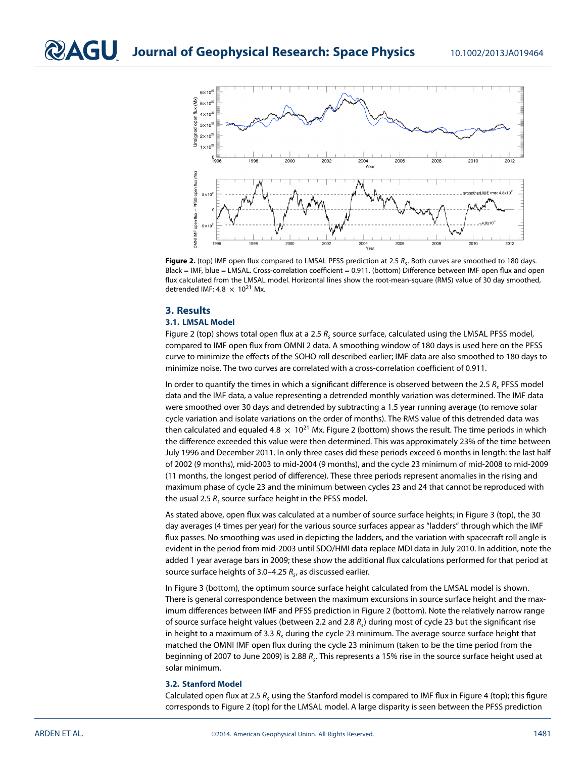

<span id="page-5-0"></span>Figure 2. (top) IMF open flux compared to LMSAL PFSS prediction at 2.5 R<sub>s</sub>. Both curves are smoothed to 180 days. Black = IMF, blue = LMSAL. Cross-correlation coefficient = 0.911. (bottom) Difference between IMF open flux and open flux calculated from the LMSAL model. Horizontal lines show the root-mean-square (RMS) value of 30 day smoothed, detrended IMF:  $4.8 \times 10^{21}$  Mx.

## **3. Results**

### **3.1. LMSAL Model**

Figure [2](#page-5-0) (top) shows total open flux at a 2.5  $R_s$  source surface, calculated using the LMSAL PFSS model, compared to IMF open flux from OMNI 2 data. A smoothing window of 180 days is used here on the PFSS curve to minimize the effects of the SOHO roll described earlier; IMF data are also smoothed to 180 days to minimize noise. The two curves are correlated with a cross-correlation coefficient of 0.911.

In order to quantify the times in which a significant difference is observed between the 2.5  $R<sub>r</sub>$  PFSS model data and the IMF data, a value representing a detrended monthly variation was determined. The IMF data were smoothed over 30 days and detrended by subtracting a 1.5 year running average (to remove solar cycle variation and isolate variations on the order of months). The RMS value of this detrended data was then calculated and equaled  $4.8 \times 10^{21}$  Mx. Figure [2](#page-5-0) (bottom) shows the result. The time periods in which the difference exceeded this value were then determined. This was approximately 23% of the time between July 1996 and December 2011. In only three cases did these periods exceed 6 months in length: the last half of 2002 (9 months), mid-2003 to mid-2004 (9 months), and the cycle 23 minimum of mid-2008 to mid-2009 (11 months, the longest period of difference). These three periods represent anomalies in the rising and maximum phase of cycle 23 and the minimum between cycles 23 and 24 that cannot be reproduced with the usual 2.5  $R_s$  source surface height in the PFSS model.

As stated above, open flux was calculated at a number of source surface heights; in Figure [3](#page-6-0) (top), the 30 day averages (4 times per year) for the various source surfaces appear as "ladders" through which the IMF flux passes. No smoothing was used in depicting the ladders, and the variation with spacecraft roll angle is evident in the period from mid-2003 until SDO/HMI data replace MDI data in July 2010. In addition, note the added 1 year average bars in 2009; these show the additional flux calculations performed for that period at source surface heights of 3.0–4.25  $R<sub>s</sub>$ , as discussed earlier.

In Figure [3](#page-6-0) (bottom), the optimum source surface height calculated from the LMSAL model is shown. There is general correspondence between the maximum excursions in source surface height and the maximum differences between IMF and PFSS prediction in Figure [2](#page-5-0) (bottom). Note the relatively narrow range of source surface height values (between 2.2 and 2.8  $R<sub>c</sub>$ ) during most of cycle 23 but the significant rise in height to a maximum of 3.3  $R_s$  during the cycle 23 minimum. The average source surface height that matched the OMNI IMF open flux during the cycle 23 minimum (taken to be the time period from the beginning of 2007 to June 2009) is 2.88  $R_s$ . This represents a 15% rise in the source surface height used at solar minimum.

# <span id="page-5-1"></span>**3.2. Stanford Model**

Calculated open flux at 2.5  $R_s$  using the Stanford model is compared to IMF flux in Figure [4](#page-6-1) (top); this figure corresponds to Figure [2](#page-5-0) (top) for the LMSAL model. A large disparity is seen between the PFSS prediction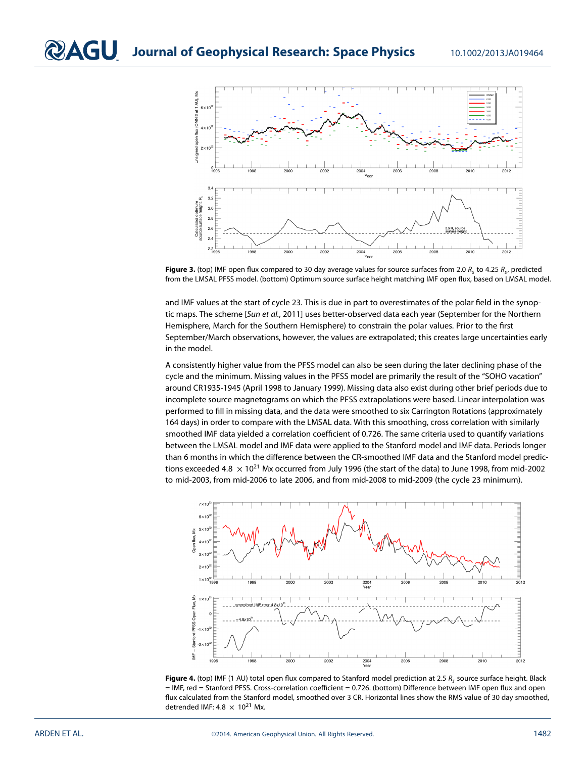

<span id="page-6-0"></span>**Figure 3.** (top) IMF open flux compared to 30 day average values for source surfaces from 2.0  $R_s$  to 4.25  $R_s$ , predicted from the LMSAL PFSS model. (bottom) Optimum source surface height matching IMF open flux, based on LMSAL model.

and IMF values at the start of cycle 23. This is due in part to overestimates of the polar field in the synoptic maps. The scheme [Sun et al., 2011] uses better-observed data each year (September for the Northern Hemisphere, March for the Southern Hemisphere) to constrain the polar values. Prior to the first September/March observations, however, the values are extrapolated; this creates large uncertainties early in the model.

A consistently higher value from the PFSS model can also be seen during the later declining phase of the cycle and the minimum. Missing values in the PFSS model are primarily the result of the "SOHO vacation" around CR1935-1945 (April 1998 to January 1999). Missing data also exist during other brief periods due to incomplete source magnetograms on which the PFSS extrapolations were based. Linear interpolation was performed to fill in missing data, and the data were smoothed to six Carrington Rotations (approximately 164 days) in order to compare with the LMSAL data. With this smoothing, cross correlation with similarly smoothed IMF data yielded a correlation coefficient of 0.726. The same criteria used to quantify variations between the LMSAL model and IMF data were applied to the Stanford model and IMF data. Periods longer than 6 months in which the difference between the CR-smoothed IMF data and the Stanford model predictions exceeded 4.8  $\times$  10<sup>21</sup> Mx occurred from July 1996 (the start of the data) to June 1998, from mid-2002 to mid-2003, from mid-2006 to late 2006, and from mid-2008 to mid-2009 (the cycle 23 minimum).



<span id="page-6-1"></span>Figure 4. (top) IMF (1 AU) total open flux compared to Stanford model prediction at 2.5 R<sub>s</sub> source surface height. Black = IMF, red = Stanford PFSS. Cross-correlation coefficient = 0.726. (bottom) Difference between IMF open flux and open flux calculated from the Stanford model, smoothed over 3 CR. Horizontal lines show the RMS value of 30 day smoothed, detrended IMF:  $4.8 \times 10^{21}$  Mx.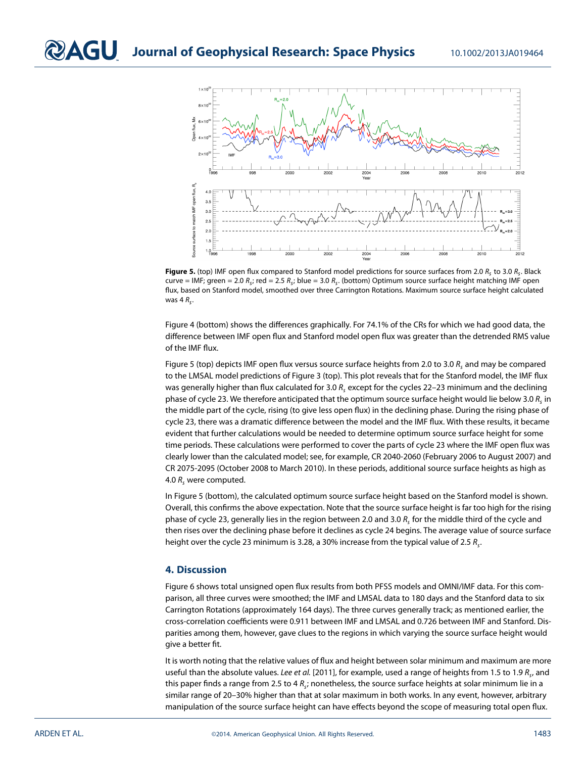

<span id="page-7-0"></span>**Figure 5.** (top) IMF open flux compared to Stanford model predictions for source surfaces from 2.0  $R_s$  to 3.0  $R_s$ . Black curve = IMF; green = 2.0  $R_s$ ; red = 2.5  $R_s$ ; blue = 3.0  $R_s$ . (bottom) Optimum source surface height matching IMF open flux, based on Stanford model, smoothed over three Carrington Rotations. Maximum source surface height calculated was  $4 R<sub>c</sub>$ .

Figure [4](#page-6-1) (bottom) shows the differences graphically. For 74.1% of the CRs for which we had good data, the difference between IMF open flux and Stanford model open flux was greater than the detrended RMS value of the IMF flux.

Figure [5](#page-7-0) (top) depicts IMF open flux versus source surface heights from 2.0 to 3.0  $R_s$  and may be compared to the LMSAL model predictions of Figure [3](#page-6-0) (top). This plot reveals that for the Stanford model, the IMF flux was generally higher than flux calculated for 3.0  $R_s$  except for the cycles 22–23 minimum and the declining phase of cycle 23. We therefore anticipated that the optimum source surface height would lie below 3.0  $R_c$  in the middle part of the cycle, rising (to give less open flux) in the declining phase. During the rising phase of cycle 23, there was a dramatic difference between the model and the IMF flux. With these results, it became evident that further calculations would be needed to determine optimum source surface height for some time periods. These calculations were performed to cover the parts of cycle 23 where the IMF open flux was clearly lower than the calculated model; see, for example, CR 2040-2060 (February 2006 to August 2007) and CR 2075-2095 (October 2008 to March 2010). In these periods, additional source surface heights as high as 4.0  $R_s$  were computed.

In Figure [5](#page-7-0) (bottom), the calculated optimum source surface height based on the Stanford model is shown. Overall, this confirms the above expectation. Note that the source surface height is far too high for the rising phase of cycle 23, generally lies in the region between 2.0 and 3.0  $R_s$  for the middle third of the cycle and then rises over the declining phase before it declines as cycle 24 begins. The average value of source surface height over the cycle 23 minimum is 3.28, a 30% increase from the typical value of 2.5  $R_c$ .

## **4. Discussion**

Figure [6](#page-8-0) shows total unsigned open flux results from both PFSS models and OMNI/IMF data. For this comparison, all three curves were smoothed; the IMF and LMSAL data to 180 days and the Stanford data to six Carrington Rotations (approximately 164 days). The three curves generally track; as mentioned earlier, the cross-correlation coefficients were 0.911 between IMF and LMSAL and 0.726 between IMF and Stanford. Disparities among them, however, gave clues to the regions in which varying the source surface height would give a better fit.

It is worth noting that the relative values of flux and height between solar minimum and maximum are more useful than the absolute values. Lee et al. [2011], for example, used a range of heights from 1.5 to 1.9  $R_s$ , and this paper finds a range from 2.5 to 4  $R_s$ ; nonetheless, the source surface heights at solar minimum lie in a similar range of 20–30% higher than that at solar maximum in both works. In any event, however, arbitrary manipulation of the source surface height can have effects beyond the scope of measuring total open flux.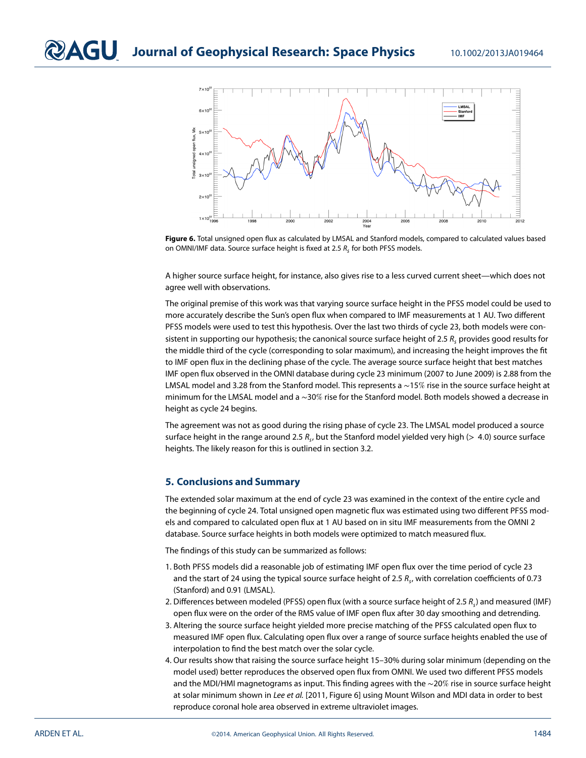

<span id="page-8-0"></span>**Figure 6.** Total unsigned open flux as calculated by LMSAL and Stanford models, compared to calculated values based on OMNI/IMF data. Source surface height is fixed at 2.5  $R_s$  for both PFSS models.

A higher source surface height, for instance, also gives rise to a less curved current sheet—which does not agree well with observations.

The original premise of this work was that varying source surface height in the PFSS model could be used to more accurately describe the Sun's open flux when compared to IMF measurements at 1 AU. Two different PFSS models were used to test this hypothesis. Over the last two thirds of cycle 23, both models were consistent in supporting our hypothesis; the canonical source surface height of 2.5  $R<sub>c</sub>$  provides good results for the middle third of the cycle (corresponding to solar maximum), and increasing the height improves the fit to IMF open flux in the declining phase of the cycle. The average source surface height that best matches IMF open flux observed in the OMNI database during cycle 23 minimum (2007 to June 2009) is 2.88 from the LMSAL model and 3.28 from the Stanford model. This represents a ∼15% rise in the source surface height at minimum for the LMSAL model and a ∼30% rise for the Stanford model. Both models showed a decrease in height as cycle 24 begins.

The agreement was not as good during the rising phase of cycle 23. The LMSAL model produced a source surface height in the range around 2.5  $R_s$ , but the Stanford model yielded very high ( $> 4.0$ ) source surface heights. The likely reason for this is outlined in section [3.2.](#page-5-1)

## **5. Conclusions and Summary**

The extended solar maximum at the end of cycle 23 was examined in the context of the entire cycle and the beginning of cycle 24. Total unsigned open magnetic flux was estimated using two different PFSS models and compared to calculated open flux at 1 AU based on in situ IMF measurements from the OMNI 2 database. Source surface heights in both models were optimized to match measured flux.

The findings of this study can be summarized as follows:

- 1. Both PFSS models did a reasonable job of estimating IMF open flux over the time period of cycle 23 and the start of 24 using the typical source surface height of 2.5  $R<sub>c</sub>$ , with correlation coefficients of 0.73 (Stanford) and 0.91 (LMSAL).
- 2. Differences between modeled (PFSS) open flux (with a source surface height of 2.5  $R_c$ ) and measured (IMF) open flux were on the order of the RMS value of IMF open flux after 30 day smoothing and detrending.
- 3. Altering the source surface height yielded more precise matching of the PFSS calculated open flux to measured IMF open flux. Calculating open flux over a range of source surface heights enabled the use of interpolation to find the best match over the solar cycle.
- 4. Our results show that raising the source surface height 15–30% during solar minimum (depending on the model used) better reproduces the observed open flux from OMNI. We used two different PFSS models and the MDI/HMI magnetograms as input. This finding agrees with the ∼20% rise in source surface height at solar minimum shown in Lee et al. [2011, Figure 6] using Mount Wilson and MDI data in order to best reproduce coronal hole area observed in extreme ultraviolet images.